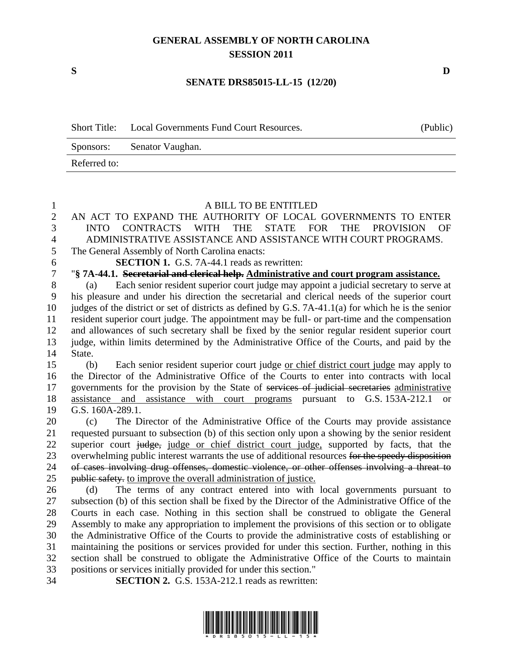# **GENERAL ASSEMBLY OF NORTH CAROLINA SESSION 2011**

#### **SENATE DRS85015-LL-15 (12/20)**

| <b>Short Title:</b> | Local Governments Fund Court Resources. | (Public) |
|---------------------|-----------------------------------------|----------|
|                     | Sponsors: Senator Vaughan.              |          |
| Referred to:        |                                         |          |

### A BILL TO BE ENTITLED

# AN ACT TO EXPAND THE AUTHORITY OF LOCAL GOVERNMENTS TO ENTER INTO CONTRACTS WITH THE STATE FOR THE PROVISION OF ADMINISTRATIVE ASSISTANCE AND ASSISTANCE WITH COURT PROGRAMS.

# The General Assembly of North Carolina enacts:

**SECTION 1.** G.S. 7A-44.1 reads as rewritten:

# "**§ 7A-44.1. Secretarial and clerical help. Administrative and court program assistance.**

 (a) Each senior resident superior court judge may appoint a judicial secretary to serve at his pleasure and under his direction the secretarial and clerical needs of the superior court judges of the district or set of districts as defined by G.S. 7A-41.1(a) for which he is the senior resident superior court judge. The appointment may be full- or part-time and the compensation and allowances of such secretary shall be fixed by the senior regular resident superior court judge, within limits determined by the Administrative Office of the Courts, and paid by the State.

 (b) Each senior resident superior court judge or chief district court judge may apply to the Director of the Administrative Office of the Courts to enter into contracts with local 17 governments for the provision by the State of services of judicial secretaries administrative assistance and assistance with court programs pursuant to G.S. 153A-212.1 or G.S. 160A-289.1.

 (c) The Director of the Administrative Office of the Courts may provide assistance requested pursuant to subsection (b) of this section only upon a showing by the senior resident 22 superior court judge, judge or chief district court judge, supported by facts, that the 23 overwhelming public interest warrants the use of additional resources for the speedy disposition of cases involving drug offenses, domestic violence, or other offenses involving a threat to 25 public safety, to improve the overall administration of justice.

 (d) The terms of any contract entered into with local governments pursuant to subsection (b) of this section shall be fixed by the Director of the Administrative Office of the Courts in each case. Nothing in this section shall be construed to obligate the General Assembly to make any appropriation to implement the provisions of this section or to obligate the Administrative Office of the Courts to provide the administrative costs of establishing or maintaining the positions or services provided for under this section. Further, nothing in this section shall be construed to obligate the Administrative Office of the Courts to maintain positions or services initially provided for under this section."

**SECTION 2.** G.S. 153A-212.1 reads as rewritten:



**S D**